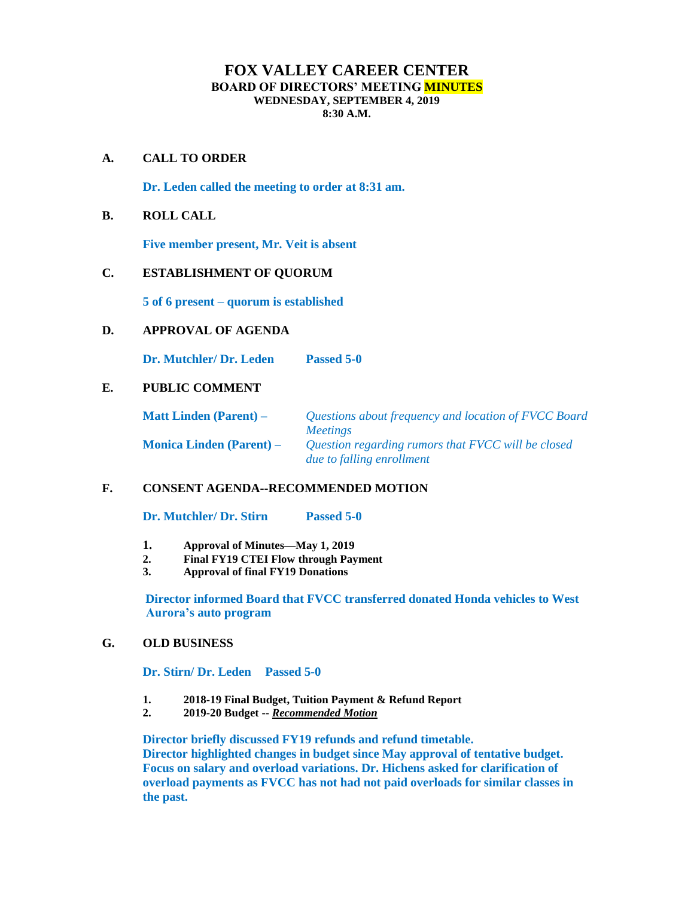# **FOX VALLEY CAREER CENTER BOARD OF DIRECTORS' MEETING MINUTES WEDNESDAY, SEPTEMBER 4, 2019 8:30 A.M.**

### **A. CALL TO ORDER**

**Dr. Leden called the meeting to order at 8:31 am.**

### **B. ROLL CALL**

**Five member present, Mr. Veit is absent**

### **C. ESTABLISHMENT OF QUORUM**

**5 of 6 present – quorum is established**

### **D. APPROVAL OF AGENDA**

**Dr. Mutchler/ Dr. Leden Passed 5-0** 

# **E. PUBLIC COMMENT**

**Matt Linden (Parent) –** *Questions about frequency and location of FVCC Board Meetings* **Monica Linden (Parent) –** *Question regarding rumors that FVCC will be closed due to falling enrollment*

# **F. CONSENT AGENDA--RECOMMENDED MOTION**

**Dr. Mutchler/ Dr. Stirn Passed 5-0**

- **1. Approval of Minutes—May 1, 2019**
- **2. Final FY19 CTEI Flow through Payment**
- **3. Approval of final FY19 Donations**

**Director informed Board that FVCC transferred donated Honda vehicles to West Aurora's auto program**

### **G. OLD BUSINESS**

**Dr. Stirn/ Dr. Leden Passed 5-0**

- **1. 2018-19 Final Budget, Tuition Payment & Refund Report**
- **2. 2019-20 Budget --** *Recommended Motion*

**Director briefly discussed FY19 refunds and refund timetable. Director highlighted changes in budget since May approval of tentative budget. Focus on salary and overload variations. Dr. Hichens asked for clarification of overload payments as FVCC has not had not paid overloads for similar classes in the past.**